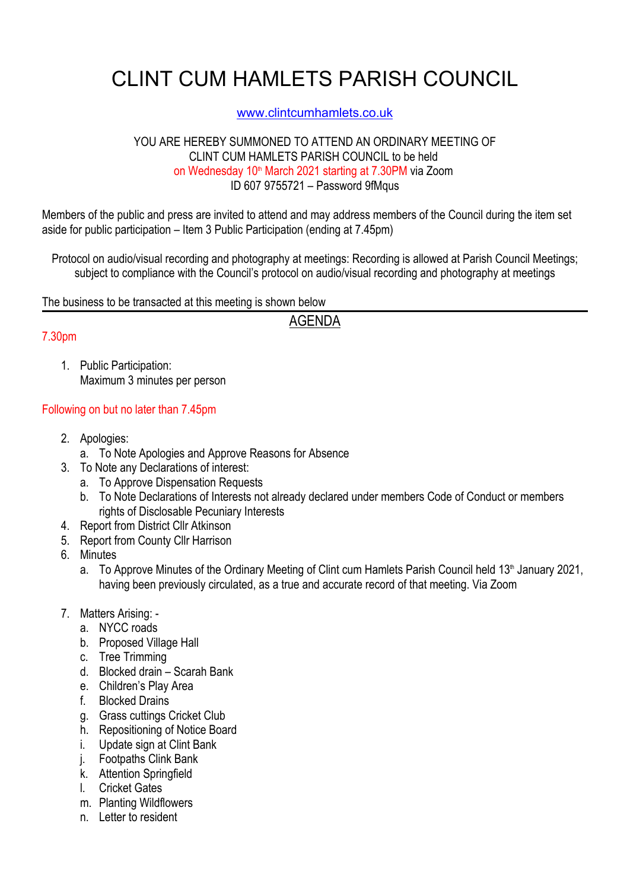# CLINT CUM HAMLETS PARISH COUNCIL

#### www.clintcumhamlets.co.uk

#### YOU ARE HEREBY SUMMONED TO ATTEND AN ORDINARY MEETING OF CLINT CUM HAMLETS PARISH COUNCIL to be held on Wednesday 10<sup>th</sup> March 2021 starting at 7.30PM via Zoom ID 607 9755721 – Password 9fMqus

Members of the public and press are invited to attend and may address members of the Council during the item set aside for public participation – Item 3 Public Participation (ending at 7.45pm)

Protocol on audio/visual recording and photography at meetings: Recording is allowed at Parish Council Meetings; subject to compliance with the Council's protocol on audio/visual recording and photography at meetings

AGENDA

#### The business to be transacted at this meeting is shown below

# 7.30pm

1. Public Participation: Maximum 3 minutes per person

## Following on but no later than 7.45pm

- 2. Apologies:
	- a. To Note Apologies and Approve Reasons for Absence
- 3. To Note any Declarations of interest:
	- a. To Approve Dispensation Requests
	- b. To Note Declarations of Interests not already declared under members Code of Conduct or members rights of Disclosable Pecuniary Interests
- 4. Report from District Cllr Atkinson
- 5. Report from County Cllr Harrison
- 6. Minutes
	- a. To Approve Minutes of the Ordinary Meeting of Clint cum Hamlets Parish Council held 13<sup>th</sup> January 2021, having been previously circulated, as a true and accurate record of that meeting. Via Zoom
- 7. Matters Arising:
	- a. NYCC roads
	- b. Proposed Village Hall
	- c. Tree Trimming
	- d. Blocked drain Scarah Bank
	- e. Children's Play Area
	- f. Blocked Drains
	- g. Grass cuttings Cricket Club
	- h. Repositioning of Notice Board
	- i. Update sign at Clint Bank
	- j. Footpaths Clink Bank
	- k. Attention Springfield
	- l. Cricket Gates
	- m. Planting Wildflowers
	- n. Letter to resident